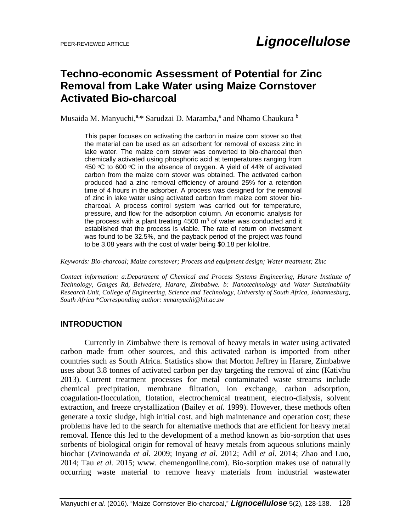# **Techno-economic Assessment of Potential for Zinc Removal from Lake Water using Maize Cornstover Activated Bio-charcoal**

Musaida M. Manyuchi,<sup>a,\*</sup> Sarudzai D. Maramba,<sup>a</sup> and Nhamo Chaukura <sup>b</sup>

This paper focuses on activating the carbon in maize corn stover so that the material can be used as an adsorbent for removal of excess zinc in lake water. The maize corn stover was converted to bio-charcoal then chemically activated using phosphoric acid at temperatures ranging from 450  $\degree$ C to 600  $\degree$ C in the absence of oxygen. A yield of 44% of activated carbon from the maize corn stover was obtained. The activated carbon produced had a zinc removal efficiency of around 25% for a retention time of 4 hours in the adsorber. A process was designed for the removal of zinc in lake water using activated carbon from maize corn stover biocharcoal. A process control system was carried out for temperature, pressure, and flow for the adsorption column. An economic analysis for the process with a plant treating  $4500 \text{ m}^3$  of water was conducted and it established that the process is viable. The rate of return on investment was found to be 32.5%, and the payback period of the project was found to be 3.08 years with the cost of water being \$0.18 per kilolitre.

*Keywords: Bio-charcoal; Maize cornstover; Process and equipment design; Water treatment; Zinc*

*Contact information: a:Department of Chemical and Process Systems Engineering, Harare Institute of Technology, Ganges Rd, Belvedere, Harare, Zimbabwe. b: Nanotechnology and Water Sustainability Research Unit, College of Engineering, Science and Technology, University of South Africa, Johannesburg, South Africa \*Corresponding author: [mmanyuchi@hit.ac.zw](mailto:mmanyuchi@hit.ac.zw)*

# **INTRODUCTION**

Currently in Zimbabwe there is removal of heavy metals in water using activated carbon made from other sources, and this activated carbon is imported from other countries such as South Africa. Statistics show that Morton Jeffrey in Harare, Zimbabwe uses about 3.8 tonnes of activated carbon per day targeting the removal of zinc (Kativhu 2013). Current treatment processes for metal contaminated waste streams include chemical precipitation, membrane filtration, ion exchange, carbon adsorption, coagulation-flocculation, flotation, electrochemical treatment, electro-dialysis, solvent extraction, and freeze crystallization (Bailey *et al.* 1999). However, these methods often generate a toxic sludge, high initial cost, and high maintenance and operation cost; these problems have led to the search for alternative methods that are efficient for heavy metal removal. Hence this led to the development of a method known as bio-sorption that uses sorbents of biological origin for removal of heavy metals from aqueous solutions mainly biochar (Zvinowanda *et al.* 2009; Inyang *et al.* 2012; Adil *et al.* 2014; Zhao and Luo, 2014; Tau *et al.* 2015; www. chemengonline.com). Bio-sorption makes use of naturally occurring waste material to remove heavy materials from industrial wastewater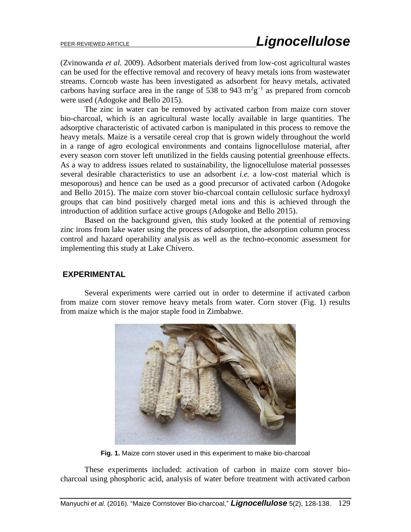(Zvinowanda *et al.* 2009). Adsorbent materials derived from low-cost agricultural wastes can be used for the effective removal and recovery of heavy metals ions from wastewater streams. Corncob waste has been investigated as adsorbent for heavy metals, activated carbons having surface area in the range of 538 to 943  $m^2g^{-1}$  as prepared from corncob were used (Adogoke and Bello 2015).

The zinc in water can be removed by activated carbon from maize corn stover bio-charcoal, which is an agricultural waste locally available in large quantities. The adsorptive characteristic of activated carbon is manipulated in this process to remove the heavy metals. Maize is a versatile cereal crop that is grown widely throughout the world in a range of agro ecological environments and contains lignocellulose material, after every season corn stover left unutilized in the fields causing potential greenhouse effects. As a way to address issues related to sustainability, the lignocellulose material possesses several desirable characteristics to use an adsorbent *i.e.* a low-cost material which is mesoporous) and hence can be used as a good precursor of activated carbon (Adogoke and Bello 2015). The maize corn stover bio-charcoal contain cellulosic surface hydroxyl groups that can bind positively charged metal ions and this is achieved through the introduction of addition surface active groups (Adogoke and Bello 2015).

Based on the background given, this study looked at the potential of removing zinc irons from lake water using the process of adsorption, the adsorption column process control and hazard operability analysis as well as the techno-economic assessment for implementing this study at Lake Chivero.

### **EXPERIMENTAL**

Several experiments were carried out in order to determine if activated carbon from maize corn stover remove heavy metals from water. Corn stover (Fig. 1) results from maize which is the major staple food in Zimbabwe.



**Fig. 1.** Maize corn stover used in this experiment to make bio-charcoal

These experiments included: activation of carbon in maize corn stover biocharcoal using phosphoric acid, analysis of water before treatment with activated carbon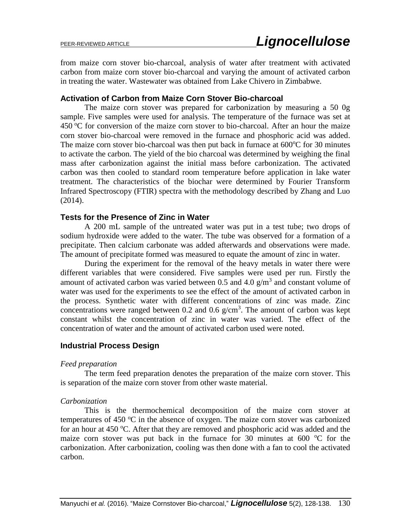from maize corn stover bio-charcoal, analysis of water after treatment with activated carbon from maize corn stover bio-charcoal and varying the amount of activated carbon in treating the water. Wastewater was obtained from Lake Chivero in Zimbabwe.

### **Activation of Carbon from Maize Corn Stover Bio-charcoal**

The maize corn stover was prepared for carbonization by measuring a 50 0g sample. Five samples were used for analysis. The temperature of the furnace was set at  $450^{\circ}$ C for conversion of the maize corn stover to bio-charcoal. After an hour the maize corn stover bio-charcoal were removed in the furnace and phosphoric acid was added. The maize corn stover bio-charcoal was then put back in furnace at  $600^{\circ}$ C for 30 minutes to activate the carbon. The yield of the bio charcoal was determined by weighing the final mass after carbonization against the initial mass before carbonization. The activated carbon was then cooled to standard room temperature before application in lake water treatment. The characteristics of the biochar were determined by Fourier Transform Infrared Spectroscopy (FTIR) spectra with the methodology described by Zhang and Luo (2014).

### **Tests for the Presence of Zinc in Water**

A 200 mL sample of the untreated water was put in a test tube; two drops of sodium hydroxide were added to the water. The tube was observed for a formation of a precipitate. Then calcium carbonate was added afterwards and observations were made. The amount of precipitate formed was measured to equate the amount of zinc in water.

During the experiment for the removal of the heavy metals in water there were different variables that were considered. Five samples were used per run. Firstly the amount of activated carbon was varied between 0.5 and 4.0  $\frac{g}{m^3}$  and constant volume of water was used for the experiments to see the effect of the amount of activated carbon in the process. Synthetic water with different concentrations of zinc was made. Zinc concentrations were ranged between 0.2 and 0.6  $g/cm<sup>3</sup>$ . The amount of carbon was kept constant whilst the concentration of zinc in water was varied. The effect of the concentration of water and the amount of activated carbon used were noted.

# **Industrial Process Design**

### *Feed preparation*

The term feed preparation denotes the preparation of the maize corn stover. This is separation of the maize corn stover from other waste material.

### *Carbonization*

This is the thermochemical decomposition of the maize corn stover at temperatures of 450  $\degree$ C in the absence of oxygen. The maize corn stover was carbonized for an hour at 450  $^{\circ}$ C. After that they are removed and phosphoric acid was added and the maize corn stover was put back in the furnace for 30 minutes at 600  $\degree$ C for the carbonization. After carbonization, cooling was then done with a fan to cool the activated carbon.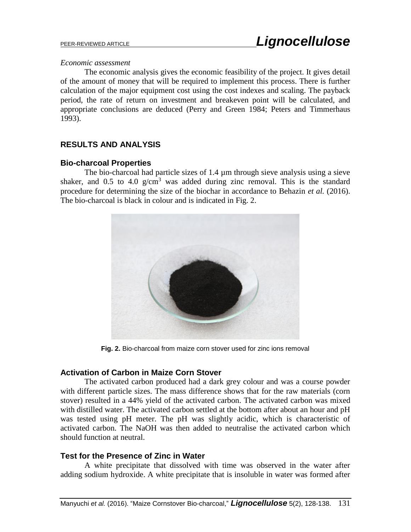#### *Economic assessment*

The economic analysis gives the economic feasibility of the project. It gives detail of the amount of money that will be required to implement this process. There is further calculation of the major equipment cost using the cost indexes and scaling. The payback period, the rate of return on investment and breakeven point will be calculated, and appropriate conclusions are deduced (Perry and Green 1984; Peters and Timmerhaus 1993).

# **RESULTS AND ANALYSIS**

# **Bio-charcoal Properties**

The bio-charcoal had particle sizes of 1.4 µm through sieve analysis using a sieve shaker, and 0.5 to 4.0  $g/cm<sup>3</sup>$  was added during zinc removal. This is the standard procedure for determining the size of the biochar in accordance to Behazin *et al.* (2016). The bio-charcoal is black in colour and is indicated in Fig. 2.



**Fig. 2.** Bio-charcoal from maize corn stover used for zinc ions removal

### **Activation of Carbon in Maize Corn Stover**

The activated carbon produced had a dark grey colour and was a course powder with different particle sizes. The mass difference shows that for the raw materials (corn stover) resulted in a 44% yield of the activated carbon. The activated carbon was mixed with distilled water. The activated carbon settled at the bottom after about an hour and pH was tested using pH meter. The pH was slightly acidic, which is characteristic of activated carbon. The NaOH was then added to neutralise the activated carbon which should function at neutral.

### **Test for the Presence of Zinc in Water**

A white precipitate that dissolved with time was observed in the water after adding sodium hydroxide. A white precipitate that is insoluble in water was formed after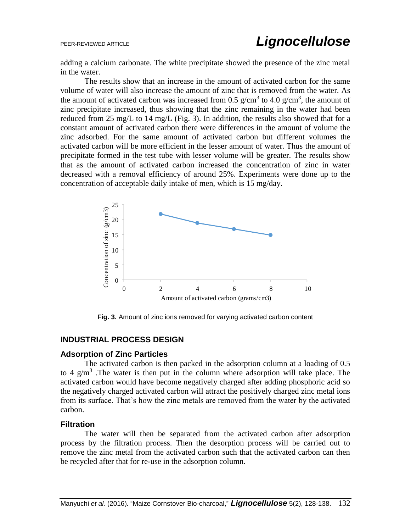adding a calcium carbonate. The white precipitate showed the presence of the zinc metal in the water.

The results show that an increase in the amount of activated carbon for the same volume of water will also increase the amount of zinc that is removed from the water. As the amount of activated carbon was increased from 0.5  $g/cm<sup>3</sup>$  to 4.0  $g/cm<sup>3</sup>$ , the amount of zinc precipitate increased, thus showing that the zinc remaining in the water had been reduced from 25 mg/L to 14 mg/L (Fig. 3). In addition, the results also showed that for a constant amount of activated carbon there were differences in the amount of volume the zinc adsorbed. For the same amount of activated carbon but different volumes the activated carbon will be more efficient in the lesser amount of water. Thus the amount of precipitate formed in the test tube with lesser volume will be greater. The results show that as the amount of activated carbon increased the concentration of zinc in water decreased with a removal efficiency of around 25%. Experiments were done up to the concentration of acceptable daily intake of men, which is 15 mg/day.



**Fig. 3.** Amount of zinc ions removed for varying activated carbon content

# **INDUSTRIAL PROCESS DESIGN**

#### **Adsorption of Zinc Particles**

The activated carbon is then packed in the adsorption column at a loading of 0.5 to 4  $g/m<sup>3</sup>$ . The water is then put in the column where adsorption will take place. The activated carbon would have become negatively charged after adding phosphoric acid so the negatively charged activated carbon will attract the positively charged zinc metal ions from its surface. That's how the zinc metals are removed from the water by the activated carbon.

#### **Filtration**

The water will then be separated from the activated carbon after adsorption process by the filtration process. Then the desorption process will be carried out to remove the zinc metal from the activated carbon such that the activated carbon can then be recycled after that for re-use in the adsorption column.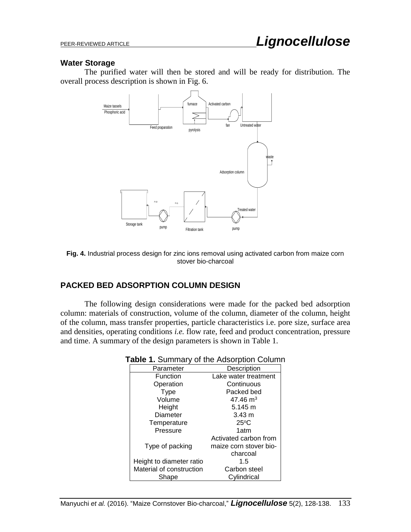#### **Water Storage**

The purified water will then be stored and will be ready for distribution. The overall process description is shown in Fig. 6.



**Fig. 4.** Industrial process design for zinc ions removal using activated carbon from maize corn stover bio-charcoal

# **PACKED BED ADSORPTION COLUMN DESIGN**

The following design considerations were made for the packed bed adsorption column: materials of construction, volume of the column, diameter of the column, height of the column, mass transfer properties, particle characteristics i.e. pore size, surface area and densities, operating conditions *i.e.* flow rate, feed and product concentration, pressure and time. A summary of the design parameters is shown in Table 1.

| <b>able 1.</b> Summary of the Adsorption Column |                        |  |
|-------------------------------------------------|------------------------|--|
| Parameter                                       | Description            |  |
| Function                                        | Lake water treatment   |  |
| Operation                                       | Continuous             |  |
| <b>Type</b>                                     | Packed bed             |  |
| Volume                                          | $47.46 \text{ m}^3$    |  |
| Height                                          | $5.145 \text{ m}$      |  |
| Diameter                                        | $3.43 \; m$            |  |
| Temperature                                     | $25^{\circ}$ C         |  |
| Pressure                                        | 1atm                   |  |
|                                                 | Activated carbon from  |  |
| Type of packing                                 | maize corn stover bio- |  |
|                                                 | charcoal               |  |
| Height to diameter ratio                        | 1.5                    |  |
| Material of construction                        | Carbon steel           |  |
| Shape                                           | Cylindrical            |  |

#### **Table 1.** Summary of the Adsorption Column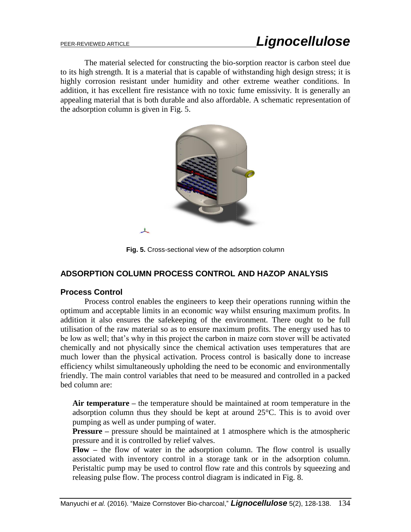The material selected for constructing the bio-sorption reactor is carbon steel due to its high strength. It is a material that is capable of withstanding high design stress; it is highly corrosion resistant under humidity and other extreme weather conditions. In addition, it has excellent fire resistance with no toxic fume emissivity. It is generally an appealing material that is both durable and also affordable. A schematic representation of the adsorption column is given in Fig. 5.



**Fig. 5.** Cross-sectional view of the adsorption column

# **ADSORPTION COLUMN PROCESS CONTROL AND HAZOP ANALYSIS**

### **Process Control**

Process control enables the engineers to keep their operations running within the optimum and acceptable limits in an economic way whilst ensuring maximum profits. In addition it also ensures the safekeeping of the environment. There ought to be full utilisation of the raw material so as to ensure maximum profits. The energy used has to be low as well; that's why in this project the carbon in maize corn stover will be activated chemically and not physically since the chemical activation uses temperatures that are much lower than the physical activation. Process control is basically done to increase efficiency whilst simultaneously upholding the need to be economic and environmentally friendly. The main control variables that need to be measured and controlled in a packed bed column are:

**Air temperature –** the temperature should be maintained at room temperature in the adsorption column thus they should be kept at around 25°C. This is to avoid over pumping as well as under pumping of water.

**Pressure –** pressure should be maintained at 1 atmosphere which is the atmospheric pressure and it is controlled by relief valves.

**Flow –** the flow of water in the adsorption column. The flow control is usually associated with inventory control in a storage tank or in the adsorption column. Peristaltic pump may be used to control flow rate and this controls by squeezing and releasing pulse flow. The process control diagram is indicated in Fig. 8.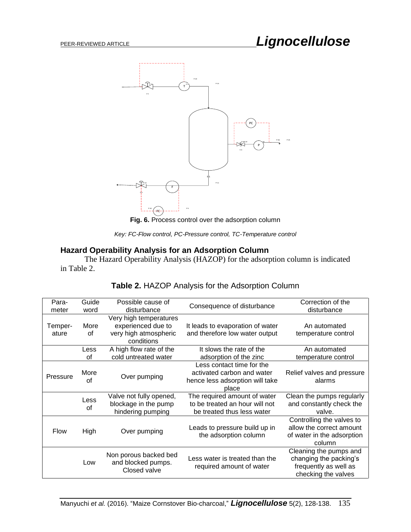

**Fig. 6.** Process control over the adsorption column

*Key: FC-Flow control, PC-Pressure control, TC-Temperature control*

# **Hazard Operability Analysis for an Adsorption Column**

The Hazard Operability Analysis (HAZOP) for the adsorption column is indicated in Table 2.

| Para-       | Guide | Possible cause of                           | Consequence of disturbance                                 | Correction of the          |
|-------------|-------|---------------------------------------------|------------------------------------------------------------|----------------------------|
| meter       | word  | disturbance                                 |                                                            | disturbance                |
|             |       | Very high temperatures                      |                                                            |                            |
| Temper-     | More  | experienced due to                          | It leads to evaporation of water                           | An automated               |
| ature       | οf    | very high atmospheric                       | and therefore low water output                             | temperature control        |
|             |       | conditions                                  |                                                            |                            |
|             | Less  | A high flow rate of the                     | It slows the rate of the                                   | An automated               |
|             | Ωf    | cold untreated water                        | adsorption of the zinc                                     | temperature control        |
|             |       |                                             | Less contact time for the                                  |                            |
|             | More  |                                             | activated carbon and water                                 | Relief valves and pressure |
| Pressure    | Ωf    | Over pumping                                | hence less adsorption will take                            | alarms                     |
|             |       |                                             | place                                                      |                            |
|             |       | Valve not fully opened,                     | The required amount of water                               | Clean the pumps regularly  |
|             | Less  | blockage in the pump                        | to be treated an hour will not                             | and constantly check the   |
|             | of    | hindering pumping                           | be treated thus less water                                 | valve.                     |
|             |       |                                             |                                                            | Controlling the valves to  |
|             |       |                                             | Leads to pressure build up in                              | allow the correct amount   |
| <b>Flow</b> | High  | Over pumping                                | the adsorption column                                      | of water in the adsorption |
|             |       |                                             |                                                            | column                     |
|             |       |                                             |                                                            | Cleaning the pumps and     |
|             | Low   | Non porous backed bed<br>and blocked pumps. | Less water is treated than the<br>required amount of water | changing the packing's     |
|             |       |                                             |                                                            | frequently as well as      |
|             |       | Closed valve                                |                                                            | checking the valves        |

# **Table 2.** HAZOP Analysis for the Adsorption Column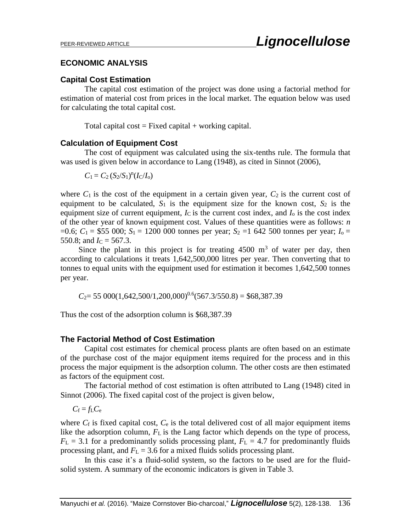### **ECONOMIC ANALYSIS**

# **Capital Cost Estimation**

The capital cost estimation of the project was done using a factorial method for estimation of material cost from prices in the local market. The equation below was used for calculating the total capital cost.

Total capital  $cost = Fixed capital + working capital$ .

### **Calculation of Equipment Cost**

The cost of equipment was calculated using the six-tenths rule. The formula that was used is given below in accordance to Lang (1948), as cited in Sinnot (2006),

 $C_1 = C_2 (S_2/S_1)^n (I_C/I_0)$ 

where  $C_1$  is the cost of the equipment in a certain given year,  $C_2$  is the current cost of equipment to be calculated,  $S_1$  is the equipment size for the known cost,  $S_2$  is the equipment size of current equipment,  $I_C$  is the current cost index, and  $I_0$  is the cost index of the other year of known equipment cost. Values of these quantities were as follows: *n*  $=0.6$ ;  $C_1 = $55,000$ ;  $S_1 = 1200,000$  tonnes per year;  $S_2 = 1,642,500$  tonnes per year;  $I_0 =$ 550.8; and  $I_C = 567.3$ .

Since the plant in this project is for treating  $4500 \text{ m}^3$  of water per day, then according to calculations it treats 1,642,500,000 litres per year. Then converting that to tonnes to equal units with the equipment used for estimation it becomes 1,642,500 tonnes per year.

 $C_2$  = 55 000(1,642,500/1,200,000)<sup>0.6</sup>(567.3/550.8) = \$68,387.39

Thus the cost of the adsorption column is \$68,387.39

# **The Factorial Method of Cost Estimation**

Capital cost estimates for chemical process plants are often based on an estimate of the purchase cost of the major equipment items required for the process and in this process the major equipment is the adsorption column. The other costs are then estimated as factors of the equipment cost.

The factorial method of cost estimation is often attributed to Lang (1948) cited in Sinnot (2006). The fixed capital cost of the project is given below,

 $C_f = f_L C_e$ 

where  $C_f$  is fixed capital cost,  $C_e$  is the total delivered cost of all major equipment items like the adsorption column,  $F<sub>L</sub>$  is the Lang factor which depends on the type of process,  $F_L = 3.1$  for a predominantly solids processing plant,  $F_L = 4.7$  for predominantly fluids processing plant, and  $F<sub>L</sub> = 3.6$  for a mixed fluids solids processing plant.

In this case it's a fluid-solid system, so the factors to be used are for the fluidsolid system. A summary of the economic indicators is given in Table 3.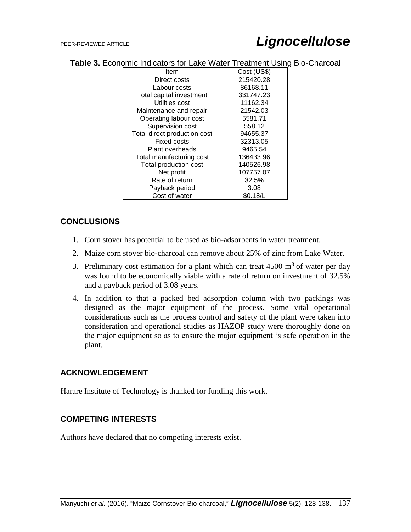| Item                         | Cost (US\$) |  |
|------------------------------|-------------|--|
| Direct costs                 | 215420.28   |  |
| Labour costs                 | 86168.11    |  |
| Total capital investment     | 331747.23   |  |
| Utilities cost               | 11162.34    |  |
| Maintenance and repair       | 21542.03    |  |
| Operating labour cost        | 5581.71     |  |
| Supervision cost             | 558.12      |  |
| Total direct production cost | 94655.37    |  |
| Fixed costs                  | 32313.05    |  |
| Plant overheads              | 9465.54     |  |
| Total manufacturing cost     | 136433.96   |  |
| Total production cost        | 140526.98   |  |
| Net profit                   | 107757.07   |  |
| Rate of return               | 32.5%       |  |
| Payback period               | 3.08        |  |
| Cost of water                | \$0.18/L    |  |

**Table 3.** Economic Indicators for Lake Water Treatment Using Bio-Charcoal

# **CONCLUSIONS**

- 1. Corn stover has potential to be used as bio-adsorbents in water treatment.
- 2. Maize corn stover bio-charcoal can remove about 25% of zinc from Lake Water.
- 3. Preliminary cost estimation for a plant which can treat  $4500 \text{ m}^3$  of water per day was found to be economically viable with a rate of return on investment of 32.5% and a payback period of 3.08 years.
- 4. In addition to that a packed bed adsorption column with two packings was designed as the major equipment of the process. Some vital operational considerations such as the process control and safety of the plant were taken into consideration and operational studies as HAZOP study were thoroughly done on the major equipment so as to ensure the major equipment 's safe operation in the plant.

# **ACKNOWLEDGEMENT**

Harare Institute of Technology is thanked for funding this work.

# **COMPETING INTERESTS**

Authors have declared that no competing interests exist.